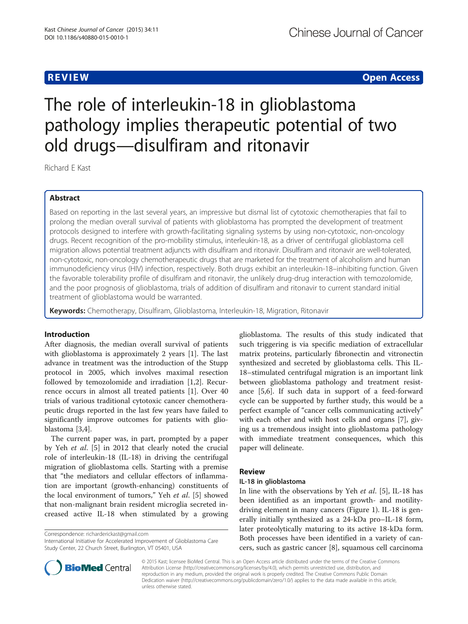# **REVIEW CONSTRUCTION CONSTRUCTION CONSTRUCTION CONSTRUCTION CONSTRUCTION CONSTRUCTION CONSTRUCTION CONSTRUCTION**

# The role of interleukin-18 in glioblastoma pathology implies therapeutic potential of two old drugs—disulfiram and ritonavir

Richard E Kast

## Abstract

Based on reporting in the last several years, an impressive but dismal list of cytotoxic chemotherapies that fail to prolong the median overall survival of patients with glioblastoma has prompted the development of treatment protocols designed to interfere with growth-facilitating signaling systems by using non-cytotoxic, non-oncology drugs. Recent recognition of the pro-mobility stimulus, interleukin-18, as a driver of centrifugal glioblastoma cell migration allows potential treatment adjuncts with disulfiram and ritonavir. Disulfiram and ritonavir are well-tolerated, non-cytotoxic, non-oncology chemotherapeutic drugs that are marketed for the treatment of alcoholism and human immunodeficiency virus (HIV) infection, respectively. Both drugs exhibit an interleukin-18–inhibiting function. Given the favorable tolerability profile of disulfiram and ritonavir, the unlikely drug-drug interaction with temozolomide, and the poor prognosis of glioblastoma, trials of addition of disulfiram and ritonavir to current standard initial treatment of glioblastoma would be warranted.

Keywords: Chemotherapy, Disulfiram, Glioblastoma, Interleukin-18, Migration, Ritonavir

#### Introduction

After diagnosis, the median overall survival of patients with glioblastoma is approximately 2 years [\[1](#page-3-0)]. The last advance in treatment was the introduction of the Stupp protocol in 2005, which involves maximal resection followed by temozolomide and irradiation [[1,2\]](#page-3-0). Recurrence occurs in almost all treated patients [\[1](#page-3-0)]. Over 40 trials of various traditional cytotoxic cancer chemotherapeutic drugs reported in the last few years have failed to significantly improve outcomes for patients with glioblastoma [[3,4\]](#page-3-0).

The current paper was, in part, prompted by a paper by Yeh et al. [\[5](#page-3-0)] in 2012 that clearly noted the crucial role of interleukin-18 (IL-18) in driving the centrifugal migration of glioblastoma cells. Starting with a premise that "the mediators and cellular effectors of inflammation are important (growth-enhancing) constituents of the local environment of tumors," Yeh et al. [\[5](#page-3-0)] showed that non-malignant brain resident microglia secreted increased active IL-18 when stimulated by a growing

Correspondence: [richarderickast@gmail.com](mailto:richarderickast@gmail.com)

International Initiative for Accelerated Improvement of Glioblastoma Care Study Center, 22 Church Street, Burlington, VT 05401, USA

glioblastoma. The results of this study indicated that such triggering is via specific mediation of extracellular matrix proteins, particularly fibronectin and vitronectin synthesized and secreted by glioblastoma cells. This IL-18–stimulated centrifugal migration is an important link between glioblastoma pathology and treatment resistance [[5,6\]](#page-3-0). If such data in support of a feed-forward cycle can be supported by further study, this would be a perfect example of "cancer cells communicating actively" with each other and with host cells and organs [\[7](#page-3-0)], giving us a tremendous insight into glioblastoma pathology with immediate treatment consequences, which this paper will delineate.

### Review

#### IL-18 in glioblastoma

In line with the observations by Yeh et al. [\[5\]](#page-3-0), IL-18 has been identified as an important growth- and motilitydriving element in many cancers (Figure [1\)](#page-1-0). IL-18 is generally initially synthesized as a 24-kDa pro–IL-18 form, later proteolytically maturing to its active 18-kDa form. Both processes have been identified in a variety of cancers, such as gastric cancer [[8\]](#page-3-0), squamous cell carcinoma



© 2015 Kast; licensee BioMed Central. This is an Open Access article distributed under the terms of the Creative Commons Attribution License (<http://creativecommons.org/licenses/by/4.0>), which permits unrestricted use, distribution, and reproduction in any medium, provided the original work is properly credited. The Creative Commons Public Domain Dedication waiver [\(http://creativecommons.org/publicdomain/zero/1.0/](http://creativecommons.org/publicdomain/zero/1.0/)) applies to the data made available in this article, unless otherwise stated.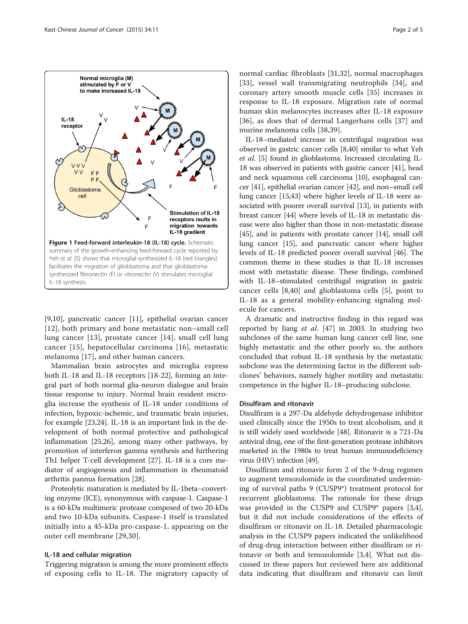<span id="page-1-0"></span>

[[9,10\]](#page-3-0), pancreatic cancer [[11\]](#page-3-0), epithelial ovarian cancer [[12](#page-3-0)], both primary and bone metastatic non–small cell lung cancer [\[13](#page-3-0)], prostate cancer [\[14\]](#page-3-0), small cell lung cancer [[15\]](#page-3-0), hepatocellular carcinoma [\[16](#page-3-0)], metastatic melanoma [[17](#page-3-0)], and other human cancers.

Mammalian brain astrocytes and microglia express both IL-18 and IL-18 receptors [\[18](#page-3-0)-[22\]](#page-3-0), forming an integral part of both normal glia-neuron dialogue and brain tissue response to injury. Normal brain resident microglia increase the synthesis of IL-18 under conditions of infection, hypoxic-ischemic, and traumatic brain injuries, for example [\[23,24](#page-3-0)]. IL-18 is an important link in the development of both normal protective and pathological inflammation [\[25,26](#page-3-0)], among many other pathways, by promotion of interferon gamma synthesis and furthering Th1 helper T-cell development [[27\]](#page-3-0). IL-18 is a core mediator of angiogenesis and inflammation in rheumatoid arthritis pannus formation [\[28\]](#page-3-0).

Proteolytic maturation is mediated by IL-1beta–converting enzyme (ICE), synonymous with caspase-1. Caspase-1 is a 60-kDa multimeric protease composed of two 20-kDa and two 10-kDa subunits. Caspase-1 itself is translated initially into a 45-kDa pro-caspase-1, appearing on the outer cell membrane [[29,30](#page-3-0)].

#### IL-18 and cellular migration

Triggering migration is among the more prominent effects of exposing cells to IL-18. The migratory capacity of

normal cardiac fibroblasts [\[31,32](#page-3-0)], normal macrophages [[33\]](#page-3-0), vessel wall transmigrating neutrophils [[34\]](#page-3-0), and coronary artery smooth muscle cells [\[35](#page-3-0)] increases in response to IL-18 exposure. Migration rate of normal human skin melanocytes increases after IL-18 exposure [[36\]](#page-3-0), as does that of dermal Langerhans cells [[37](#page-3-0)] and murine melanoma cells [[38,39\]](#page-3-0).

IL-18–mediated increase in centrifugal migration was observed in gastric cancer cells [\[8,40\]](#page-3-0) similar to what Yeh et al. [\[5](#page-3-0)] found in glioblastoma. Increased circulating IL-18 was observed in patients with gastric cancer [[41](#page-3-0)], head and neck squamous cell carcinoma [[10](#page-3-0)], esophageal cancer [[41\]](#page-3-0), epithelial ovarian cancer [\[42\]](#page-3-0), and non–small cell lung cancer [\[15,43\]](#page-3-0) where higher levels of IL-18 were associated with poorer overall survival [\[13](#page-3-0)], in patients with breast cancer [\[44](#page-3-0)] where levels of IL-18 in metastatic disease were also higher than those in non-metastatic disease [[45](#page-4-0)], and in patients with prostate cancer [[14](#page-3-0)], small cell lung cancer [\[15\]](#page-3-0), and pancreatic cancer where higher levels of IL-18 predicted poorer overall survival [\[46](#page-4-0)]. The common theme in these studies is that IL-18 increases most with metastatic disease. These findings, combined with IL-18–stimulated centrifugal migration in gastric cancer cells [[8,40](#page-3-0)] and glioblastoma cells [\[5](#page-3-0)], point to IL-18 as a general mobility-enhancing signaling molecule for cancers.

A dramatic and instructive finding in this regard was reported by Jiang et al. [[47](#page-4-0)] in 2003. In studying two subclones of the same human lung cancer cell line, one highly metastatic and the other poorly so, the authors concluded that robust IL-18 synthesis by the metastatic subclone was the determining factor in the different subclones' behaviors, namely higher motility and metastatic competence in the higher IL-18–producing subclone.

#### Disulfiram and ritonavir

Disulfiram is a 297-Da aldehyde dehydrogenase inhibitor used clinically since the 1950s to treat alcoholism, and it is still widely used worldwide [\[48](#page-4-0)]. Ritonavir is a 721-Da antiviral drug, one of the first-generation protease inhibitors marketed in the 1980s to treat human immunodeficiency virus (HIV) infection [\[49\]](#page-4-0).

Disulfiram and ritonavir form 2 of the 9-drug regimen to augment temozolomide in the coordinated undermining of survival paths 9 (CUSP9\*) treatment protocol for recurrent glioblastoma. The rationale for these drugs was provided in the CUSP9 and CUSP9\* papers [\[3,4](#page-3-0)], but it did not include considerations of the effects of disulfiram or ritonavir on IL-18. Detailed pharmacologic analysis in the CUSP9 papers indicated the unlikelihood of drug-drug interaction between either disulfiram or ritonavir or both and temozolomide [[3](#page-3-0),[4](#page-3-0)]. What not discussed in these papers but reviewed here are additional data indicating that disulfiram and ritonavir can limit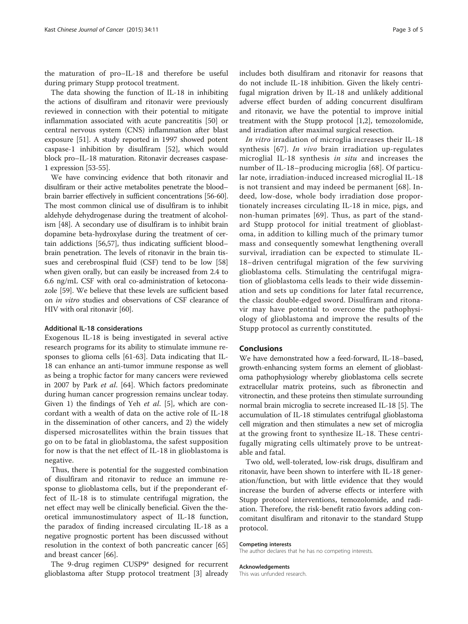the maturation of pro–IL-18 and therefore be useful during primary Stupp protocol treatment.

The data showing the function of IL-18 in inhibiting the actions of disulfiram and ritonavir were previously reviewed in connection with their potential to mitigate inflammation associated with acute pancreatitis [\[50](#page-4-0)] or central nervous system (CNS) inflammation after blast exposure [\[51](#page-4-0)]. A study reported in 1997 showed potent caspase-1 inhibition by disulfiram [[52\]](#page-4-0), which would block pro–IL-18 maturation. Ritonavir decreases caspase-1 expression [\[53-55\]](#page-4-0).

We have convincing evidence that both ritonavir and disulfiram or their active metabolites penetrate the blood– brain barrier effectively in sufficient concentrations [\[56-60](#page-4-0)]. The most common clinical use of disulfiram is to inhibit aldehyde dehydrogenase during the treatment of alcoholism [\[48\]](#page-4-0). A secondary use of disulfiram is to inhibit brain dopamine beta-hydroxylase during the treatment of certain addictions [[56,57](#page-4-0)], thus indicating sufficient blood– brain penetration. The levels of ritonavir in the brain tissues and cerebrospinal fluid (CSF) tend to be low [[58](#page-4-0)] when given orally, but can easily be increased from 2.4 to 6.6 ng/mL CSF with oral co-administration of ketoconazole [\[59\]](#page-4-0). We believe that these levels are sufficient based on in vitro studies and observations of CSF clearance of HIV with oral ritonavir [[60](#page-4-0)].

#### Additional IL-18 considerations

Exogenous IL-18 is being investigated in several active research programs for its ability to stimulate immune responses to glioma cells [\[61](#page-4-0)-[63\]](#page-4-0). Data indicating that IL-18 can enhance an anti-tumor immune response as well as being a trophic factor for many cancers were reviewed in 2007 by Park et al. [[64\]](#page-4-0). Which factors predominate during human cancer progression remains unclear today. Given 1) the findings of Yeh *et al.* [\[5](#page-3-0)], which are concordant with a wealth of data on the active role of IL-18 in the dissemination of other cancers, and 2) the widely dispersed microsatellites within the brain tissues that go on to be fatal in glioblastoma, the safest supposition for now is that the net effect of IL-18 in glioblastoma is negative.

Thus, there is potential for the suggested combination of disulfiram and ritonavir to reduce an immune response to glioblastoma cells, but if the preponderant effect of IL-18 is to stimulate centrifugal migration, the net effect may well be clinically beneficial. Given the theoretical immunostimulatory aspect of IL-18 function, the paradox of finding increased circulating IL-18 as a negative prognostic portent has been discussed without resolution in the context of both pancreatic cancer [[65](#page-4-0)] and breast cancer [\[66\]](#page-4-0).

The 9-drug regimen CUSP9\* designed for recurrent glioblastoma after Stupp protocol treatment [\[3](#page-3-0)] already includes both disulfiram and ritonavir for reasons that do not include IL-18 inhibition. Given the likely centrifugal migration driven by IL-18 and unlikely additional adverse effect burden of adding concurrent disulfiram and ritonavir, we have the potential to improve initial treatment with the Stupp protocol [[1,2\]](#page-3-0), temozolomide,

and irradiation after maximal surgical resection.

In vitro irradiation of microglia increases their IL-18 synthesis [[67\]](#page-4-0). In vivo brain irradiation up-regulates microglial IL-18 synthesis in situ and increases the number of IL-18–producing microglia [[68\]](#page-4-0). Of particular note, irradiation-induced increased microglial IL-18 is not transient and may indeed be permanent [[68](#page-4-0)]. Indeed, low-dose, whole body irradiation dose proportionately increases circulating IL-18 in mice, pigs, and non-human primates [\[69](#page-4-0)]. Thus, as part of the standard Stupp protocol for initial treatment of glioblastoma, in addition to killing much of the primary tumor mass and consequently somewhat lengthening overall survival, irradiation can be expected to stimulate IL-18–driven centrifugal migration of the few surviving glioblastoma cells. Stimulating the centrifugal migration of glioblastoma cells leads to their wide dissemination and sets up conditions for later fatal recurrence, the classic double-edged sword. Disulfiram and ritonavir may have potential to overcome the pathophysiology of glioblastoma and improve the results of the Stupp protocol as currently constituted.

#### Conclusions

We have demonstrated how a feed-forward, IL-18–based, growth-enhancing system forms an element of glioblastoma pathophysiology whereby glioblastoma cells secrete extracellular matrix proteins, such as fibronectin and vitronectin, and these proteins then stimulate surrounding normal brain microglia to secrete increased IL-18 [[5\]](#page-3-0). The accumulation of IL-18 stimulates centrifugal glioblastoma cell migration and then stimulates a new set of microglia at the growing front to synthesize IL-18. These centrifugally migrating cells ultimately prove to be untreatable and fatal.

Two old, well-tolerated, low-risk drugs, disulfiram and ritonavir, have been shown to interfere with IL-18 generation/function, but with little evidence that they would increase the burden of adverse effects or interfere with Stupp protocol interventions, temozolomide, and radiation. Therefore, the risk-benefit ratio favors adding concomitant disulfiram and ritonavir to the standard Stupp protocol.

#### Competing interests

The author declares that he has no competing interests.

#### Acknowledgements

This was unfunded research.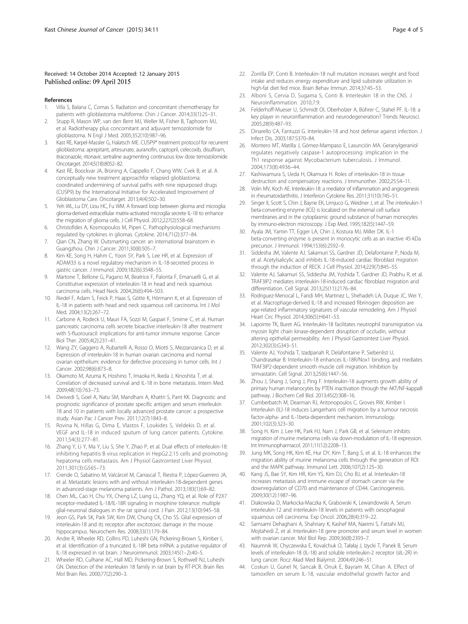#### <span id="page-3-0"></span>Received: 14 October 2014 Accepted: 12 January 2015 Published online: 09 April 2015

#### References

- 1. Villa S, Balana C, Comas S. Radiation and concomitant chemotherapy for patients with glioblastoma multiforme. Chin J Cancer. 2014;33(1):25–31.
- 2. Stupp R, Mason WP, van den Bent MJ, Weller M, Fisher B, Taphoorn MJ, et al. Radiotherapy plus concomitant and adjuvant temozolomide for glioblastoma. N Engl J Med. 2005;352(10):987–96.
- 3. Kast RE, Karpel-Massler G, Halatsch ME. CUSP9\* treatment protocol for recurrent glioblastoma: aprepitant, artesunate, auranofin, captopril, celecoxib, disulfiram, itraconazole, ritonavir, sertraline augmenting continuous low dose temozolomide. Oncotarget. 2014;5(18):8052–82.
- 4. Kast RE, Boockvar JA, Brüning A, Cappello F, Chang WW, Cvek B, et al. A conceptually new treatment approachfor relapsed glioblastoma: coordinated undermining of survival paths with nine repurposed drugs (CUSP9) by the International Initiative for Accelerated Improvement of Glioblastoma Care. Oncotarget. 2013;4(4):502–30.
- Yeh WL, Lu DY, Liou HC, Fu WM. A forward loop between glioma and microglia: glioma-derived extracellular matrix-activated microglia secrete IL-18 to enhance the migration of glioma cells. J Cell Physiol. 2012;227(2):558–68.
- 6. Christofides A, Kosmopoulos M, Piperi C. Pathophysiological mechanisms regulated by cytokines in gliomas. Cytokine. 2014;71(2):377–84.
- 7. Qian CN, Zhang W. Outsmarting cancer: an international brainstorm in Guangzhou. Chin J Cancer. 2011;30(8):505–7.
- 8. Kim KE, Song H, Hahm C, Yoon SY, Park S, Lee HR, et al. Expression of ADAM33 is a novel regulatory mechanism in IL-18-secreted process in gastric cancer. J Immunol. 2009;182(6):3548–55.
- 9. Martone T, Bellone G, Pagano M, Beatrice F, Palonta F, Emanuelli G, et al. Constitutive expression of interleukin-18 in head and neck squamous carcinoma cells. Head Neck. 2004;26(6):494–503.
- 10. Riedel F, Adam S, Feick P, Haas S, Götte K, Hörmann K, et al. Expression of IL-18 in patients with head and neck squamous cell carcinoma. Int J Mol Med. 2004;13(2):267–72.
- 11. Carbone A, Rodeck U, Mauri FA, Sozzi M, Gaspari F, Smirne C, et al. Human pancreatic carcinoma cells secrete bioactive interleukin-18 after treatment with 5-fluorouracil: implications for anti-tumor immune response. Cancer Biol Ther. 2005;4(2):231–41.
- 12. Wang ZY, Gaggero A, Rubartelli A, Rosso O, Miotti S, Mezzanzanica D, et al. Expression of interleukin-18 in human ovarian carcinoma and normal ovarian epithelium: evidence for defective processing in tumor cells. Int J Cancer. 2002;98(6):873–8.
- 13. Okamoto M, Azuma K, Hoshino T, Imaoka H, Ikeda J, Kinoshita T, et al. Correlation of decreased survival and IL-18 in bone metastasis. Intern Med. 2009;48(10):763–73.
- 14. Dwivedi S, Goel A, Natu SM, Mandhani A, Khattri S, Pant KK. Diagnostic and prognostic significance of prostate specific antigen and serum interleukin 18 and 10 in patients with locally advanced prostate cancer: a prospective study. Asian Pac J Cancer Prev. 2011;12(7):1843–8.
- 15. Rovina N, Hillas G, Dima E, Vlastos F, Loukides S, Veldekis D, et al. VEGF and IL-18 in induced sputum of lung cancer patients. Cytokine. 2011;54(3):277–81.
- 16. Zhang Y, Li Y, Ma Y, Liu S, She Y, Zhao P, et al. Dual effects of interleukin-18: inhibiting hepatitis B virus replication in HepG2.2.15 cells and promoting hepatoma cells metastasis. Am J Physiol Gastrointest Liver Physiol. 2011;301(3):G565–73.
- 17. Crende O, Sabatino M, Valcárcel M, Carrascal T, Riestra P, López-Guerrero JA, et al. Metastatic lesions with and without interleukin-18-dependent genes in advanced-stage melanoma patients. Am J Pathol. 2013;183(1):69–82.
- 18. Chen ML, Cao H, Chu YX, Cheng LZ, Liang LL, Zhang YQ, et al. Role of P2X7 receptor-mediated IL-18/IL-18R signaling in morphine tolerance: multiple glial-neuronal dialogues in the rat spinal cord. J Pain. 2012;13(10):945–58.
- 19. Jeon GS, Park SK, Park SW, Kim DW, Chung CK, Cho SS. Glial expression of interleukin-18 and its receptor after excitotoxic damage in the mouse hippocampus. Neurochem Res. 2008;33(1):179–84.
- 20. Andre R, Wheeler RD, Collins PD, Luheshi GN, Pickering-Brown S, Kimber I, et al. Identification of a truncated IL-18R beta mRNA: a putative regulator of IL-18 expressed in rat brain. J Neuroimmunol. 2003;145(1–2):40–5.
- 21. Wheeler RD, Culhane AC, Hall MD, Pickering-Brown S, Rothwell NJ, Luheshi GN. Detection of the interleukin 18 family in rat brain by RT-PCR. Brain Res Mol Brain Res. 2000;77(2):290–3.
- 22. Zorrilla EP, Conti B. Interleukin-18 null mutation increases weight and food intake and reduces energy expenditure and lipid substrate utilization in high-fat diet fed mice. Brain Behav Immun. 2014;37:45–53.
- 23. Alboni S, Cervia D, Sugama S, Conti B. Interleukin 18 in the CNS. J Neuroinflammation. 2010;7:9.
- 24. Felderhoff-Mueser U, Schmidt OI, Oberholzer A, Bührer C, Stahel PF. IL-18: a key player in neuroinflammation and neurodegeneration? Trends Neurosci. 2005;28(9):487–93.
- 25. Dinarello CA, Fantuzzi G. Interleukin-18 and host defense against infection. J Infect Dis. 2003;187:S370–84.
- 26. Montero MT, Matilla J, Gómez-Mampaso E, Lasunción MA. Geranylgeraniol regulates negatively caspase-1 autoprocessing: implication in the Th1 response against Mycobacterium tuberculosis. J Immunol. 2004;173(8):4936–44.
- 27. Kashiwamura S, Ueda H, Okamura H. Roles of interleukin-18 in tissue destruction and compensatory reactions. J Immunother. 2002;25:S4–11.
- 28. Volin MV, Koch AE. Interleukin-18: a mediator of inflammation and angiogenesis in rheumatoidarthritis. J Interferon Cytokine Res. 2011;31(10):745–51.
- 29. Singer II, Scott S, Chin J, Bayne EK, Limjuco G, Weidner J, et al. The interleukin-1 beta-converting enzyme (ICE) is localized on the external cell surface membranes and in the cytoplasmic ground substance of human monocytes by immuno-electron microscopy. J Exp Med. 1995;182(5):1447–59.
- 30. Ayala JM, Yamin TT, Egger LA, Chin J, Kostura MJ, Miller DK. IL-1 beta-converting enzyme is present in monocytic cells as an inactive 45-kDa precursor. J Immunol. 1994;153(6):2592–9.
- 31. Siddesha JM, Valente AJ, Sakamuri SS, Gardner JD, Delafontaine P, Noda M, et al. Acetylsalicylic acid inhibits IL-18-induced cardiac fibroblast migration through the induction of RECK. J Cell Physiol. 2014;229(7):845–55.
- Valente AJ, Sakamuri SS, Siddesha JM, Yoshida T, Gardner JD, Prabhu R, et al. TRAF3IP2 mediates interleukin-18-induced cardiac fibroblast migration and differentiation. Cell Signal. 2013;25(11):2176–84.
- 33. Rodriguez-Menocal L, Faridi MH, Martinez L, Shehadeh LA, Duque JC, Wei Y, et al. Macrophage-derived IL-18 and increased fibrinogen deposition are age-related inflammatory signatures of vascular remodeling. Am J Physiol Heart Circ Physiol. 2014;306(5):H641–53.
- 34. Lapointe TK, Buret AG. Interleukin-18 facilitates neutrophil transmigration via myosin light chain kinase-dependent disruption of occludin, without altering epithelial permeability. Am J Physiol Gastrointest Liver Physiol. 2012;302(3):G343–51.
- 35. Valente AJ, Yoshida T, Izadpanah R, Delafontaine P, Siebenlist U, Chandrasekar B. Interleukin-18 enhances IL-18R/Nox1 binding, and mediates TRAF3IP2-dependent smooth muscle cell migration. Inhibition by simvastatin. Cell Signal. 2013;25(6):1447–56.
- 36. Zhou J, Shang J, Song J, Ping F. Interleukin-18 augments growth ability of primary human melanocytes by PTEN inactivation through the AKT/NF-kappaB pathway. J Biochem Cell Biol. 2013;45(2):308–16.
- 37. Cumberbatch M, Dearman RJ, Antonopoulos C, Groves RW, Kimber I. Interleukin (IL)-18 induces Langerhans cell migration by a tumour necrosis factor-alpha- and IL-1beta-dependent mechanism. Immunology. 2001;102(3):323–30.
- 38. Song H, Kim J, Lee HK, Park HJ, Nam J, Park GB, et al. Selenium inhibits migration of murine melanoma cells via down-modulation of IL-18 expression. Int Immunopharmacol. 2011;11(12):2208–13.
- 39. Jung MK, Song HK, Kim KE, Hur DY, Kim T, Bang S, et al. IL-18 enhances the migration ability of murine melanoma cells through the generation of ROI and the MAPK pathway. Immunol Lett. 2006;107(2):125–30.
- 40. Kang JS, Bae SY, Kim HR, Kim YS, Kim DJ, Cho BJ, et al. Interleukin-18 increases metastasis and immune escape of stomach cancer via the downregulation of CD70 and maintenance of CD44. Carcinogenesis. 2009;30(12):1987–96.
- 41. Diakowska D, Markocka-Maczka K, Grabowski K, Lewandowski A. Serum interleukin-12 and interleukin-18 levels in patients with oesophageal squamous cell carcinoma. Exp Oncol. 2006;28(4):319–22.
- 42. Samsami Dehaghani A, Shahriary K, Kashef MA, Naeimi S, Fattahi MJ, Mojtahedi Z, et al. Interleukin-18 gene promoter and serum level in women with ovarian cancer. Mol Biol Rep. 2009;36(8):2393–7.
- 43. Naumnik W, Chyczewska E, Kovalchuk O, Tałałaj J, Izycki T, Panek B. Serum levels of interleukin-18 (IL-18) and soluble interleukin-2 receptor (sIL-2R) in lung cancer. Rocz Akad Med Bialymst. 2004;49:246–51.
- 44. Coskun U, Gunel N, Sancak B, Onuk E, Bayram M, Cihan A. Effect of tamoxifen on serum IL-18, vascular endothelial growth factor and